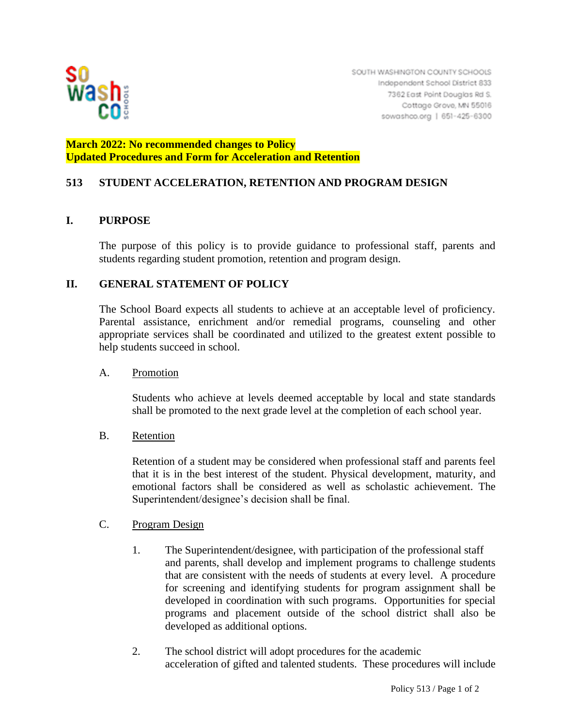

# **March 2022: No recommended changes to Policy Updated Procedures and Form for Acceleration and Retention**

# **513 STUDENT ACCELERATION, RETENTION AND PROGRAM DESIGN**

## **I. PURPOSE**

The purpose of this policy is to provide guidance to professional staff, parents and students regarding student promotion, retention and program design.

## **II. GENERAL STATEMENT OF POLICY**

The School Board expects all students to achieve at an acceptable level of proficiency. Parental assistance, enrichment and/or remedial programs, counseling and other appropriate services shall be coordinated and utilized to the greatest extent possible to help students succeed in school.

## A. Promotion

Students who achieve at levels deemed acceptable by local and state standards shall be promoted to the next grade level at the completion of each school year.

## B. Retention

Retention of a student may be considered when professional staff and parents feel that it is in the best interest of the student. Physical development, maturity, and emotional factors shall be considered as well as scholastic achievement. The Superintendent/designee's decision shall be final.

## C. Program Design

- 1. The Superintendent/designee, with participation of the professional staff and parents, shall develop and implement programs to challenge students that are consistent with the needs of students at every level. A procedure for screening and identifying students for program assignment shall be developed in coordination with such programs. Opportunities for special programs and placement outside of the school district shall also be developed as additional options.
- 2. The school district will adopt procedures for the academic acceleration of gifted and talented students. These procedures will include